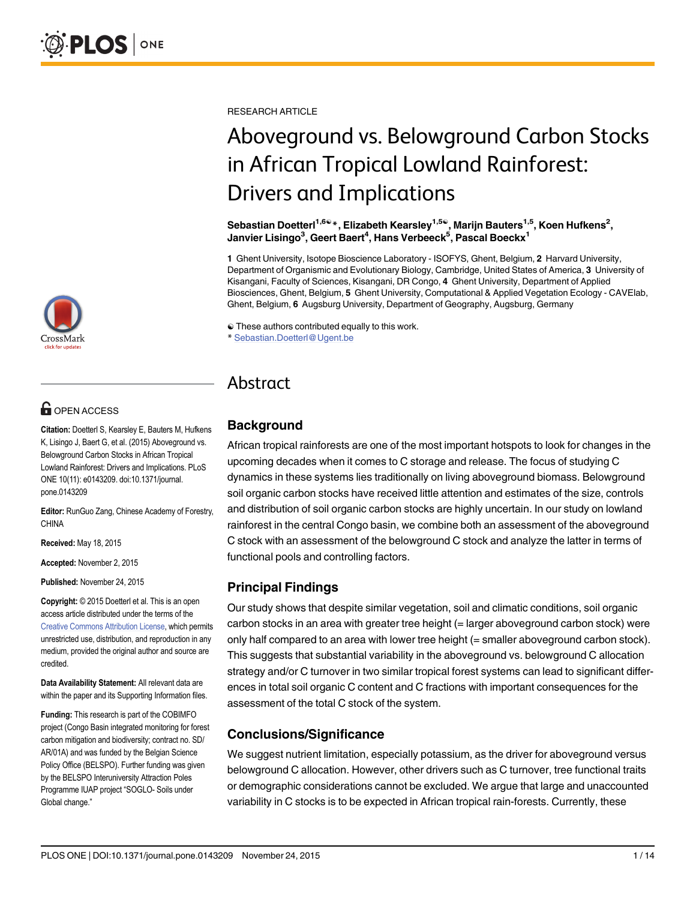

# **G** OPEN ACCESS

Citation: Doetterl S, Kearsley E, Bauters M, Hufkens K, Lisingo J, Baert G, et al. (2015) Aboveground vs. Belowground Carbon Stocks in African Tropical Lowland Rainforest: Drivers and Implications. PLoS ONE 10(11): e0143209. doi:10.1371/journal. pone.0143209

Editor: RunGuo Zang, Chinese Academy of Forestry, CHINA

Received: May 18, 2015

Accepted: November 2, 2015

Published: November 24, 2015

Copyright: © 2015 Doetterl et al. This is an open access article distributed under the terms of the [Creative Commons Attribution License,](http://creativecommons.org/licenses/by/4.0/) which permits unrestricted use, distribution, and reproduction in any medium, provided the original author and source are credited.

Data Availability Statement: All relevant data are within the paper and its Supporting Information files.

Funding: This research is part of the COBIMFO project (Congo Basin integrated monitoring for forest carbon mitigation and biodiversity; contract no. SD/ AR/01A) and was funded by the Belgian Science Policy Office (BELSPO). Further funding was given by the BELSPO Interuniversity Attraction Poles Programme IUAP project "SOGLO- Soils under Global change."

RESEARCH ARTICLE

# Aboveground vs. Belowground Carbon Stocks in African Tropical Lowland Rainforest: Drivers and Implications

Sebastian Doetterl<sup>1,6ଢ</sup> \*, Elizabeth Kearsley<sup>1,5ଢ</sup>, Marijn Bauters<sup>1,5</sup>, Koen Hufkens<sup>2</sup>, Janvier Lisingo<sup>3</sup>, Geert Baert<sup>4</sup>, Hans Verbeeck<sup>5</sup>, Pascal Boeckx<sup>1</sup>

1 Ghent University, Isotope Bioscience Laboratory - ISOFYS, Ghent, Belgium, 2 Harvard University, Department of Organismic and Evolutionary Biology, Cambridge, United States of America, 3 University of Kisangani, Faculty of Sciences, Kisangani, DR Congo, 4 Ghent University, Department of Applied Biosciences, Ghent, Belgium, 5 Ghent University, Computational & Applied Vegetation Ecology - CAVElab, Ghent, Belgium, 6 Augsburg University, Department of Geography, Augsburg, Germany

☯ These authors contributed equally to this work.

\* Sebastian.Doetterl@Ugent.be

# Abstract

# **Background**

African tropical rainforests are one of the most important hotspots to look for changes in the upcoming decades when it comes to C storage and release. The focus of studying C dynamics in these systems lies traditionally on living aboveground biomass. Belowground soil organic carbon stocks have received little attention and estimates of the size, controls and distribution of soil organic carbon stocks are highly uncertain. In our study on lowland rainforest in the central Congo basin, we combine both an assessment of the aboveground C stock with an assessment of the belowground C stock and analyze the latter in terms of functional pools and controlling factors.

# Principal Findings

Our study shows that despite similar vegetation, soil and climatic conditions, soil organic carbon stocks in an area with greater tree height (= larger aboveground carbon stock) were only half compared to an area with lower tree height (= smaller aboveground carbon stock). This suggests that substantial variability in the aboveground vs. belowground C allocation strategy and/or C turnover in two similar tropical forest systems can lead to significant differences in total soil organic C content and C fractions with important consequences for the assessment of the total C stock of the system.

# Conclusions/Significance

We suggest nutrient limitation, especially potassium, as the driver for aboveground versus belowground C allocation. However, other drivers such as C turnover, tree functional traits or demographic considerations cannot be excluded. We argue that large and unaccounted variability in C stocks is to be expected in African tropical rain-forests. Currently, these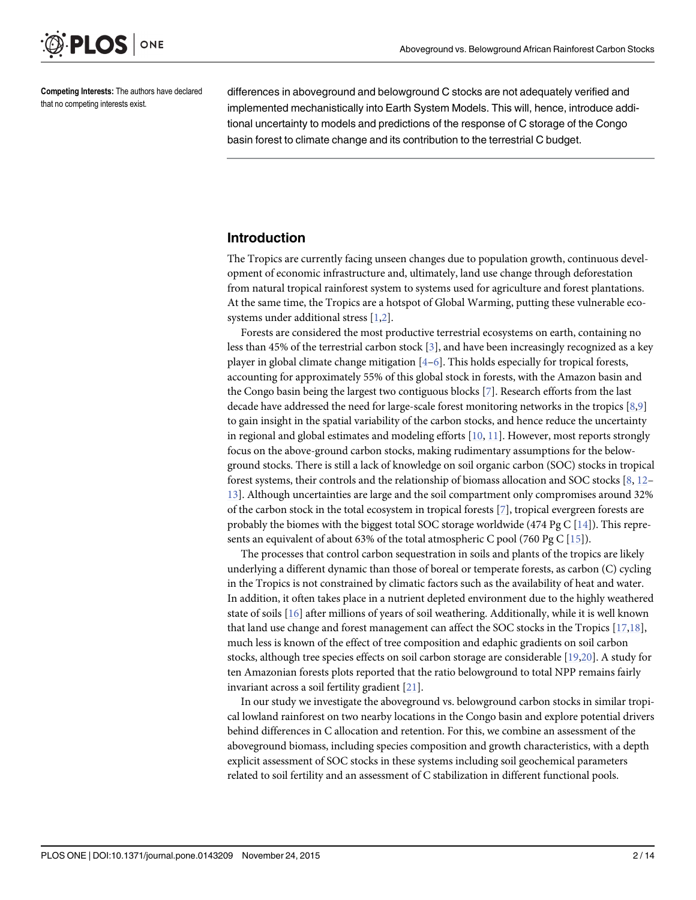<span id="page-1-0"></span>

Competing Interests: The authors have declared that no competing interests exist.

differences in aboveground and belowground C stocks are not adequately verified and implemented mechanistically into Earth System Models. This will, hence, introduce additional uncertainty to models and predictions of the response of C storage of the Congo basin forest to climate change and its contribution to the terrestrial C budget.

### Introduction

The Tropics are currently facing unseen changes due to population growth, continuous development of economic infrastructure and, ultimately, land use change through deforestation from natural tropical rainforest system to systems used for agriculture and forest plantations. At the same time, the Tropics are a hotspot of Global Warming, putting these vulnerable ecosystems under additional stress [[1,2\]](#page-11-0).

Forests are considered the most productive terrestrial ecosystems on earth, containing no less than 45% of the terrestrial carbon stock  $[3]$  $[3]$  $[3]$ , and have been increasingly recognized as a key player in global climate change mitigation  $[4-6]$  $[4-6]$  $[4-6]$  $[4-6]$  $[4-6]$ . This holds especially for tropical forests, accounting for approximately 55% of this global stock in forests, with the Amazon basin and the Congo basin being the largest two contiguous blocks [[7](#page-11-0)]. Research efforts from the last decade have addressed the need for large-scale forest monitoring networks in the tropics [\[8,9](#page-11-0)] to gain insight in the spatial variability of the carbon stocks, and hence reduce the uncertainty in regional and global estimates and modeling efforts  $[10, 11]$  $[10, 11]$  $[10, 11]$ . However, most reports strongly focus on the above-ground carbon stocks, making rudimentary assumptions for the belowground stocks. There is still a lack of knowledge on soil organic carbon (SOC) stocks in tropical forest systems, their controls and the relationship of biomass allocation and SOC stocks  $[8, 12 [8, 12 [8, 12 [8, 12-$ [13\]](#page-11-0). Although uncertainties are large and the soil compartment only compromises around 32% of the carbon stock in the total ecosystem in tropical forests  $[7]$ , tropical evergreen forests are probably the biomes with the biggest total SOC storage worldwide (474 Pg C [[14](#page-12-0)]). This represents an equivalent of about 63% of the total atmospheric C pool (760 Pg C [[15](#page-12-0)]).

The processes that control carbon sequestration in soils and plants of the tropics are likely underlying a different dynamic than those of boreal or temperate forests, as carbon (C) cycling in the Tropics is not constrained by climatic factors such as the availability of heat and water. In addition, it often takes place in a nutrient depleted environment due to the highly weathered state of soils [[16](#page-12-0)] after millions of years of soil weathering. Additionally, while it is well known that land use change and forest management can affect the SOC stocks in the Tropics [\[17,18\]](#page-12-0), much less is known of the effect of tree composition and edaphic gradients on soil carbon stocks, although tree species effects on soil carbon storage are considerable [[19,20](#page-12-0)]. A study for ten Amazonian forests plots reported that the ratio belowground to total NPP remains fairly invariant across a soil fertility gradient  $[21]$  $[21]$  $[21]$ .

In our study we investigate the aboveground vs. belowground carbon stocks in similar tropical lowland rainforest on two nearby locations in the Congo basin and explore potential drivers behind differences in C allocation and retention. For this, we combine an assessment of the aboveground biomass, including species composition and growth characteristics, with a depth explicit assessment of SOC stocks in these systems including soil geochemical parameters related to soil fertility and an assessment of C stabilization in different functional pools.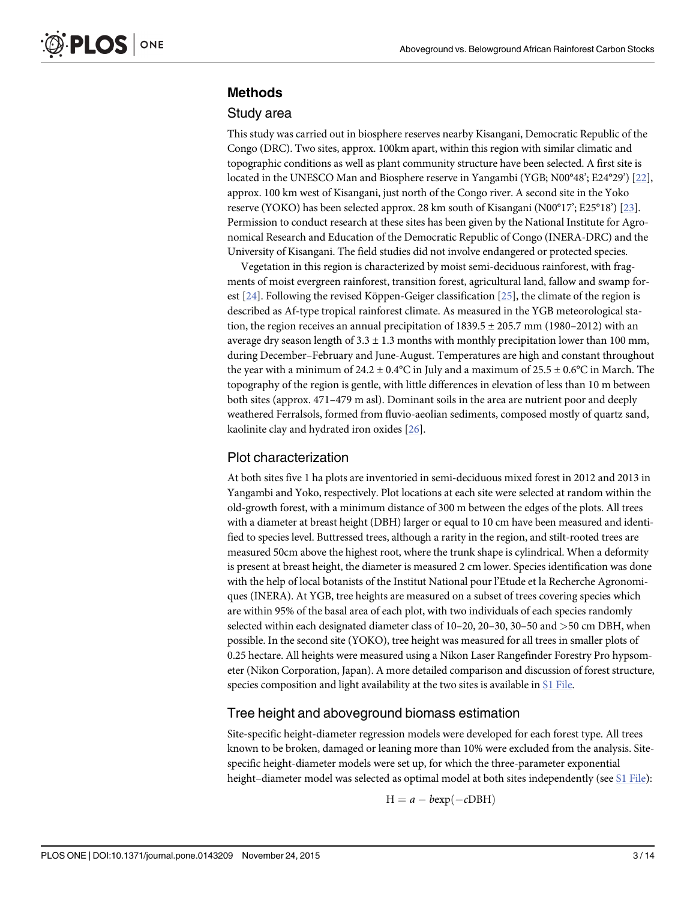### <span id="page-2-0"></span>Methods

#### Study area

This study was carried out in biosphere reserves nearby Kisangani, Democratic Republic of the Congo (DRC). Two sites, approx. 100km apart, within this region with similar climatic and topographic conditions as well as plant community structure have been selected. A first site is located in the UNESCO Man and Biosphere reserve in Yangambi (YGB; N00°48'; E24°29') [[22\]](#page-12-0), approx. 100 km west of Kisangani, just north of the Congo river. A second site in the Yoko reserve (YOKO) has been selected approx. 28 km south of Kisangani (N00°17'; E25°18') [[23](#page-12-0)]. Permission to conduct research at these sites has been given by the National Institute for Agronomical Research and Education of the Democratic Republic of Congo (INERA-DRC) and the University of Kisangani. The field studies did not involve endangered or protected species.

Vegetation in this region is characterized by moist semi-deciduous rainforest, with fragments of moist evergreen rainforest, transition forest, agricultural land, fallow and swamp forest [[24](#page-12-0)]. Following the revised Köppen-Geiger classification [\[25\]](#page-12-0), the climate of the region is described as Af-type tropical rainforest climate. As measured in the YGB meteorological station, the region receives an annual precipitation of  $1839.5 \pm 205.7$  mm ( $1980-2012$ ) with an average dry season length of  $3.3 \pm 1.3$  months with monthly precipitation lower than 100 mm, during December–February and June-August. Temperatures are high and constant throughout the year with a minimum of 24.2  $\pm$  0.4°C in July and a maximum of 25.5  $\pm$  0.6°C in March. The topography of the region is gentle, with little differences in elevation of less than 10 m between both sites (approx. 471–479 m asl). Dominant soils in the area are nutrient poor and deeply weathered Ferralsols, formed from fluvio-aeolian sediments, composed mostly of quartz sand, kaolinite clay and hydrated iron oxides [\[26](#page-12-0)].

#### Plot characterization

At both sites five 1 ha plots are inventoried in semi-deciduous mixed forest in 2012 and 2013 in Yangambi and Yoko, respectively. Plot locations at each site were selected at random within the old-growth forest, with a minimum distance of 300 m between the edges of the plots. All trees with a diameter at breast height (DBH) larger or equal to 10 cm have been measured and identified to species level. Buttressed trees, although a rarity in the region, and stilt-rooted trees are measured 50cm above the highest root, where the trunk shape is cylindrical. When a deformity is present at breast height, the diameter is measured 2 cm lower. Species identification was done with the help of local botanists of the Institut National pour l'Etude et la Recherche Agronomiques (INERA). At YGB, tree heights are measured on a subset of trees covering species which are within 95% of the basal area of each plot, with two individuals of each species randomly selected within each designated diameter class of 10–20, 20–30, 30–50 and >50 cm DBH, when possible. In the second site (YOKO), tree height was measured for all trees in smaller plots of 0.25 hectare. All heights were measured using a Nikon Laser Rangefinder Forestry Pro hypsometer (Nikon Corporation, Japan). A more detailed comparison and discussion of forest structure, species composition and light availability at the two sites is available in [S1 File](#page-10-0).

#### Tree height and aboveground biomass estimation

Site-specific height-diameter regression models were developed for each forest type. All trees known to be broken, damaged or leaning more than 10% were excluded from the analysis. Sitespecific height-diameter models were set up, for which the three-parameter exponential height–diameter model was selected as optimal model at both sites independently (see [S1 File](#page-10-0)):

$$
H = a - b \exp(-cDBH)
$$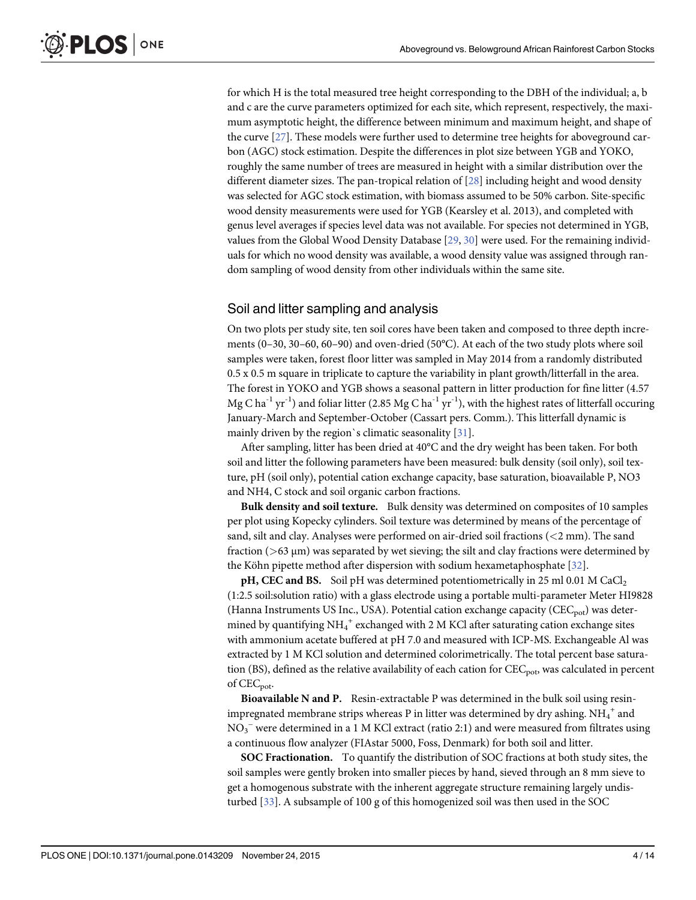<span id="page-3-0"></span>for which H is the total measured tree height corresponding to the DBH of the individual; a, b and c are the curve parameters optimized for each site, which represent, respectively, the maximum asymptotic height, the difference between minimum and maximum height, and shape of the curve [\[27\]](#page-12-0). These models were further used to determine tree heights for aboveground carbon (AGC) stock estimation. Despite the differences in plot size between YGB and YOKO, roughly the same number of trees are measured in height with a similar distribution over the different diameter sizes. The pan-tropical relation of [\[28\]](#page-12-0) including height and wood density was selected for AGC stock estimation, with biomass assumed to be 50% carbon. Site-specific wood density measurements were used for YGB (Kearsley et al. 2013), and completed with genus level averages if species level data was not available. For species not determined in YGB, values from the Global Wood Density Database [[29,](#page-12-0) [30\]](#page-12-0) were used. For the remaining individuals for which no wood density was available, a wood density value was assigned through random sampling of wood density from other individuals within the same site.

# Soil and litter sampling and analysis

On two plots per study site, ten soil cores have been taken and composed to three depth increments (0–30, 30–60, 60–90) and oven-dried (50°C). At each of the two study plots where soil samples were taken, forest floor litter was sampled in May 2014 from a randomly distributed 0.5 x 0.5 m square in triplicate to capture the variability in plant growth/litterfall in the area. The forest in YOKO and YGB shows a seasonal pattern in litter production for fine litter (4.57 Mg C ha<sup>-1</sup> yr<sup>-1</sup>) and foliar litter (2.85 Mg C ha<sup>-1</sup> yr<sup>-1</sup>), with the highest rates of litterfall occuring January-March and September-October (Cassart pers. Comm.). This litterfall dynamic is mainly driven by the region's climatic seasonality [\[31\]](#page-12-0).

After sampling, litter has been dried at 40°C and the dry weight has been taken. For both soil and litter the following parameters have been measured: bulk density (soil only), soil texture, pH (soil only), potential cation exchange capacity, base saturation, bioavailable P, NO3 and NH4, C stock and soil organic carbon fractions.

Bulk density and soil texture. Bulk density was determined on composites of 10 samples per plot using Kopecky cylinders. Soil texture was determined by means of the percentage of sand, silt and clay. Analyses were performed on air-dried soil fractions (<2 mm). The sand fraction ( $>63 \mu m$ ) was separated by wet sieving; the silt and clay fractions were determined by the Köhn pipette method after dispersion with sodium hexametaphosphate [[32](#page-12-0)].

 $pH$ , CEC and BS. Soil  $pH$  was determined potentiometrically in 25 ml 0.01 M CaCl<sub>2</sub> (1:2.5 soil:solution ratio) with a glass electrode using a portable multi-parameter Meter HI9828 (Hanna Instruments US Inc., USA). Potential cation exchange capacity ( $CEC_{pot}$ ) was determined by quantifying NH $_4^+$  exchanged with 2 M KCl after saturating cation exchange sites with ammonium acetate buffered at pH 7.0 and measured with ICP-MS. Exchangeable Al was extracted by 1 M KCl solution and determined colorimetrically. The total percent base saturation (BS), defined as the relative availability of each cation for CEC<sub>pot</sub>, was calculated in percent of  $CEC_{pot}$ .

Bioavailable N and P. Resin-extractable P was determined in the bulk soil using resinimpregnated membrane strips whereas P in litter was determined by dry ashing.  $\mathrm{NH}_4{}^+$  and  $\overline{{\rm NO}_3}^-$  were determined in a  $1$  M KCl extract (ratio 2:1) and were measured from filtrates using a continuous flow analyzer (FIAstar 5000, Foss, Denmark) for both soil and litter.

SOC Fractionation. To quantify the distribution of SOC fractions at both study sites, the soil samples were gently broken into smaller pieces by hand, sieved through an 8 mm sieve to get a homogenous substrate with the inherent aggregate structure remaining largely undisturbed [[33\]](#page-12-0). A subsample of 100 g of this homogenized soil was then used in the SOC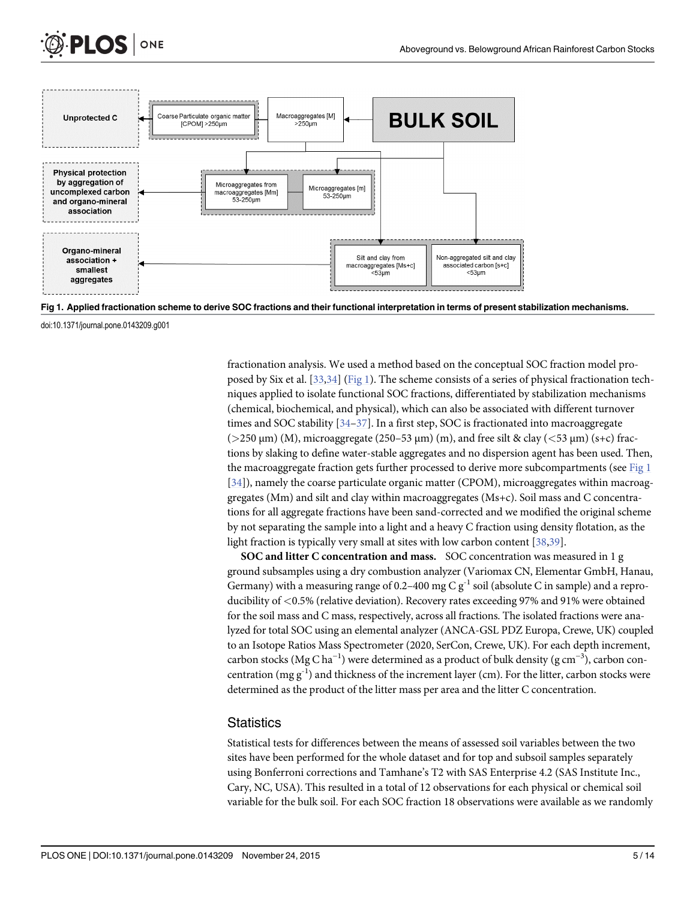<span id="page-4-0"></span>

Fig 1. Applied fractionation scheme to derive SOC fractions and their functional interpretation in terms of present stabilization mechanisms.

fractionation analysis. We used a method based on the conceptual SOC fraction model proposed by Six et al. [[33,34\]](#page-12-0) (Fig 1). The scheme consists of a series of physical fractionation techniques applied to isolate functional SOC fractions, differentiated by stabilization mechanisms (chemical, biochemical, and physical), which can also be associated with different turnover times and SOC stability  $[34-37]$  $[34-37]$  $[34-37]$  $[34-37]$  $[34-37]$ . In a first step, SOC is fractionated into macroaggregate ( $>$ 250 μm) (M), microaggregate (250–53 μm) (m), and free silt & clay ( $<$ 53 μm) (s+c) fractions by slaking to define water-stable aggregates and no dispersion agent has been used. Then, the macroaggregate fraction gets further processed to derive more subcompartments (see Fig 1 [\[34](#page-12-0)]), namely the coarse particulate organic matter (CPOM), microaggregates within macroaggregates (Mm) and silt and clay within macroaggregates (Ms+c). Soil mass and C concentrations for all aggregate fractions have been sand-corrected and we modified the original scheme by not separating the sample into a light and a heavy C fraction using density flotation, as the light fraction is typically very small at sites with low carbon content [\[38,39\]](#page-13-0).

SOC and litter C concentration and mass. SOC concentration was measured in 1 g ground subsamples using a dry combustion analyzer (Variomax CN, Elementar GmbH, Hanau, Germany) with a measuring range of 0.2–400 mg C  $g^{-1}$  soil (absolute C in sample) and a reproducibility of <0.5% (relative deviation). Recovery rates exceeding 97% and 91% were obtained for the soil mass and C mass, respectively, across all fractions. The isolated fractions were analyzed for total SOC using an elemental analyzer (ANCA-GSL PDZ Europa, Crewe, UK) coupled to an Isotope Ratios Mass Spectrometer (2020, SerCon, Crewe, UK). For each depth increment, carbon stocks (Mg C ha<sup>-1</sup>) were determined as a product of bulk density (g cm<sup>-3</sup>), carbon concentration (mg  $g^{-1}$ ) and thickness of the increment layer (cm). For the litter, carbon stocks were determined as the product of the litter mass per area and the litter C concentration.

# **Statistics**

Statistical tests for differences between the means of assessed soil variables between the two sites have been performed for the whole dataset and for top and subsoil samples separately using Bonferroni corrections and Tamhane's T2 with SAS Enterprise 4.2 (SAS Institute Inc., Cary, NC, USA). This resulted in a total of 12 observations for each physical or chemical soil variable for the bulk soil. For each SOC fraction 18 observations were available as we randomly

doi:10.1371/journal.pone.0143209.g001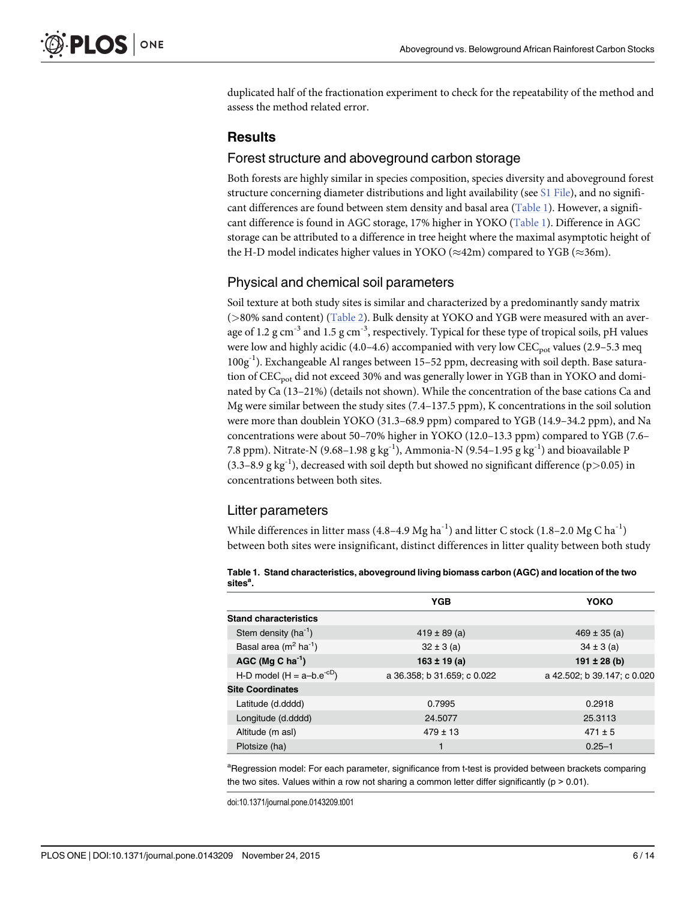<span id="page-5-0"></span>duplicated half of the fractionation experiment to check for the repeatability of the method and assess the method related error.

# **Results**

#### Forest structure and aboveground carbon storage

Both forests are highly similar in species composition, species diversity and aboveground forest structure concerning diameter distributions and light availability (see [S1 File\)](#page-10-0), and no significant differences are found between stem density and basal area  $(Table 1)$ . However, a significant difference is found in AGC storage, 17% higher in YOKO (Table 1). Difference in AGC storage can be attributed to a difference in tree height where the maximal asymptotic height of the H-D model indicates higher values in YOKO ( $\approx$ 42m) compared to YGB ( $\approx$ 36m).

#### Physical and chemical soil parameters

Soil texture at both study sites is similar and characterized by a predominantly sandy matrix (>80% sand content) ([Table 2\)](#page-6-0). Bulk density at YOKO and YGB were measured with an average of 1.2 g cm<sup>-3</sup> and 1.5 g cm<sup>-3</sup>, respectively. Typical for these type of tropical soils, pH values were low and highly acidic (4.0–4.6) accompanied with very low  $CEC_{pot}$  values (2.9–5.3 meq  $100g^{-1}$ ). Exchangeable Al ranges between 15–52 ppm, decreasing with soil depth. Base saturation of CEC<sub>pot</sub> did not exceed 30% and was generally lower in YGB than in YOKO and dominated by Ca (13–21%) (details not shown). While the concentration of the base cations Ca and Mg were similar between the study sites (7.4–137.5 ppm), K concentrations in the soil solution were more than doublein YOKO (31.3–68.9 ppm) compared to YGB (14.9–34.2 ppm), and Na concentrations were about 50–70% higher in YOKO (12.0–13.3 ppm) compared to YGB (7.6– 7.8 ppm). Nitrate-N (9.68–1.98 g kg<sup>-1</sup>), Ammonia-N (9.54–1.95 g kg<sup>-1</sup>) and bioavailable P  $(3.3–8.9 \text{ g kg}^{-1})$ , decreased with soil depth but showed no significant difference (p $>0.05$ ) in concentrations between both sites.

#### Litter parameters

While differences in litter mass (4.8–4.9 Mg ha<sup>-1</sup>) and litter C stock (1.8–2.0 Mg C ha<sup>-1</sup>) between both sites were insignificant, distinct differences in litter quality between both study

| Table 1. Stand characteristics, aboveground living biomass carbon (AGC) and location of the two |  |
|-------------------------------------------------------------------------------------------------|--|
| sites <sup>a</sup> .                                                                            |  |

|                                    | <b>YGB</b>                  | <b>YOKO</b>                 |
|------------------------------------|-----------------------------|-----------------------------|
| <b>Stand characteristics</b>       |                             |                             |
| Stem density ( $ha^{-1}$ )         | $419 \pm 89$ (a)            | $469 \pm 35$ (a)            |
| Basal area $(m^2 \text{ ha}^{-1})$ | $32 \pm 3$ (a)              | $34 \pm 3$ (a)              |
| $AGC$ (Mg C ha <sup>-1</sup> )     | $163 \pm 19$ (a)            | 191 $\pm$ 28 (b)            |
| H-D model $(H = a - b.e^{-cD})$    | a 36.358; b 31.659; c 0.022 | a 42.502; b 39.147; c 0.020 |
| <b>Site Coordinates</b>            |                             |                             |
| Latitude (d.dddd)                  | 0.7995                      | 0.2918                      |
| Longitude (d.dddd)                 | 24.5077                     | 25.3113                     |
| Altitude (m asl)                   | $479 \pm 13$                | $471 \pm 5$                 |
| Plotsize (ha)                      |                             | $0.25 - 1$                  |

aRegression model: For each parameter, significance from t-test is provided between brackets comparing the two sites. Values within a row not sharing a common letter differ significantly ( $p > 0.01$ ).

doi:10.1371/journal.pone.0143209.t001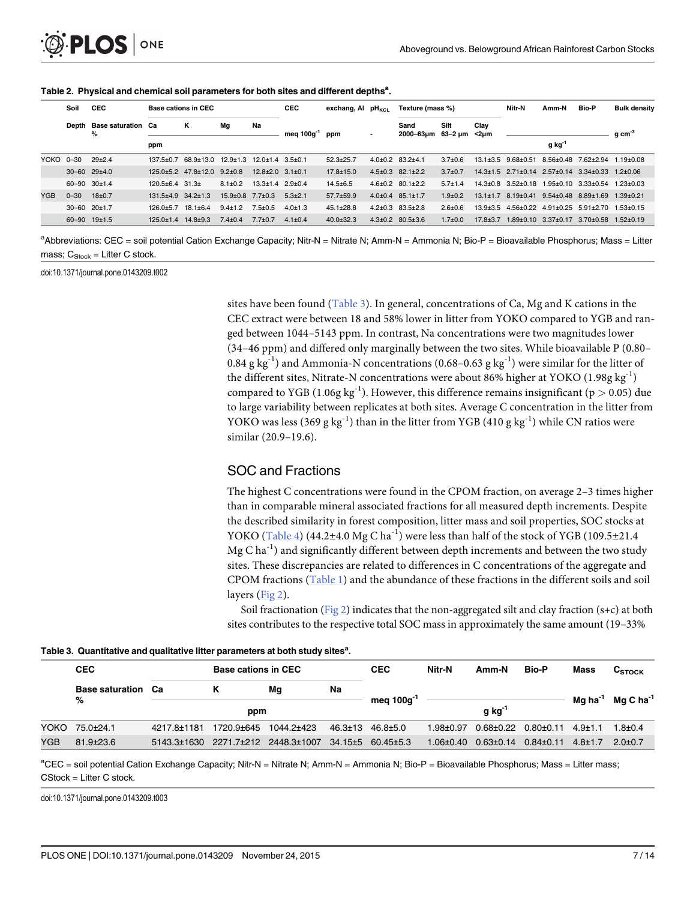|           | <b>CEC</b><br>Soil<br><b>Base cations in CEC</b> |                               |                           | <b>CEC</b><br>exchang, AI pH <sub>KCL</sub> |                  |                              | Texture (mass %)            |                 |  | Nitr-N                       | Amm-N         | Bio-P           | <b>Bulk density</b> |                                                  |  |                     |
|-----------|--------------------------------------------------|-------------------------------|---------------------------|---------------------------------------------|------------------|------------------------------|-----------------------------|-----------------|--|------------------------------|---------------|-----------------|---------------------|--------------------------------------------------|--|---------------------|
|           |                                                  | Depth Base saturation Ca<br>% |                           | Κ                                           | Mg               | Na                           |                             |                 |  | Sand<br>2000-63um 63-2 um    | Silt          | Clay<br>$<$ 2µm |                     |                                                  |  | $q \text{ cm}^{-3}$ |
|           |                                                  |                               | ppm                       |                                             |                  |                              | meg $100g^{-1}$<br>ppm<br>۰ |                 |  |                              |               |                 | g kg <sup>-1</sup>  |                                                  |  |                     |
| YOKO 0-30 |                                                  | $29+2.4$                      | $137.5 + 0.7$             | 68.9±13.0 12.9±1.3 12.0±1.4 3.5±0.1         |                  |                              |                             | $52.3 + 25.7$   |  | $4.0\pm0.2$ 83.2 $\pm4.1$    | $3.7 \pm 0.6$ |                 |                     | 13.1±3.5 9.68±0.51 8.56±0.48 7.62±2.94 1.19±0.08 |  |                     |
|           |                                                  | 30-60 29±4.0                  |                           | 125.0±5.2 47.8±12.0 9.2±0.8                 |                  | $12.8 \pm 2.0$ 3.1 $\pm$ 0.1 |                             | $17.8 \pm 15.0$ |  | $4.5\pm0.3$ 82.1 $\pm2.2$    | $3.7 + 0.7$   |                 |                     | 14.3±1.5 2.71±0.14 2.57±0.14 3.34±0.33 1.2±0.06  |  |                     |
|           |                                                  | $60 - 90$ $30 + 1.4$          | $120.5\pm 6.4$ 31.3 $\pm$ |                                             | $8.1 \pm 0.2$    | $13.3 \pm 1.4$ 2.9 $\pm 0.4$ |                             | $14.5 \pm 6.5$  |  | $4.6 \pm 0.2$ 80.1 $\pm 2.2$ | $5.7 + 1.4$   |                 |                     | 14.3±0.8 3.52±0.18 1.95±0.10 3.33±0.54 1.23±0.03 |  |                     |
| YGB.      | $0 - 30$                                         | 18 <sub>±</sub> 0.7           | 131.5±4.9 34.2±1.3        |                                             | 15.9±0.8 7.7±0.3 |                              | $5.3 \pm 2.1$               | 57.7±59.9       |  | $4.0\pm0.4$ 85.1 $\pm$ 1.7   | $1.9 + 0.2$   |                 |                     | 13.1±1.7 8.19±0.41 9.54±0.48 8.89±1.69           |  | $1.39 + 0.21$       |
|           | 30-60 20±1.7                                     |                               | $126.0 + 5.7$             | $18.1 + 6.4$                                | $9.4 + 1.2$      | $7.5 \pm 0.5$                | $4.0 + 1.3$                 | $45.1 + 28.8$   |  | $4.2 \pm 0.3$ 83.5 ± 2.8     | $2.6 + 0.6$   |                 |                     | 13.9±3.5 4.56±0.22 4.91±0.25 5.91±2.70 1.53±0.15 |  |                     |
|           |                                                  | 60-90 19±1.5                  | $125.0 \pm 1.4$           | $14.8 + 9.3$                                | $7.4 + 0.4$      | $7.7 \pm 0.7$                | $4.1 \pm 0.4$               | $40.0 \pm 32.3$ |  | $4.3\pm0.2$ 80.5 $\pm3.6$    | $1.7 \pm 0.0$ | $17.8 \pm 3.7$  |                     | 1.89±0.10 3.37±0.17 3.70±0.58 1.52±0.19          |  |                     |

#### <span id="page-6-0"></span>[Table 2.](#page-5-0) Physical and chemical soil parameters for both sites and different depths<sup>a</sup>.

a
Abbreviations: CEC = soil potential Cation Exchange Capacity; Nitr-N = Nitrate N; Amm-N = Ammonia N; Bio-P = Bioavailable Phosphorus; Mass = Litter mass;  $C_{Stock}$  = Litter C stock.

doi:10.1371/journal.pone.0143209.t002

sites have been found (Table 3). In general, concentrations of Ca, Mg and K cations in the CEC extract were between 18 and 58% lower in litter from YOKO compared to YGB and ranged between 1044–5143 ppm. In contrast, Na concentrations were two magnitudes lower (34–46 ppm) and differed only marginally between the two sites. While bioavailable P (0.80– 0.84 g kg<sup>-1</sup>) and Ammonia-N concentrations (0.68–0.63 g kg<sup>-1</sup>) were similar for the litter of the different sites, Nitrate-N concentrations were about 86% higher at YOKO  $(1.98g \text{ kg}^{-1})$ compared to YGB (1.06g kg<sup>-1</sup>). However, this difference remains insignificant (p  $> 0.05$ ) due to large variability between replicates at both sites. Average C concentration in the litter from YOKO was less (369 g kg<sup>-1</sup>) than in the litter from YGB (410 g kg<sup>-1</sup>) while CN ratios were similar (20.9–19.6).

#### SOC and Fractions

The highest C concentrations were found in the CPOM fraction, on average 2–3 times higher than in comparable mineral associated fractions for all measured depth increments. Despite the described similarity in forest composition, litter mass and soil properties, SOC stocks at YOKO ([Table 4\)](#page-7-0) (44.2 $\pm$ 4.0 Mg C ha<sup>-1</sup>) were less than half of the stock of YGB (109.5 $\pm$ 21.4  $Mg C h a^{-1}$ ) and significantly different between depth increments and between the two study sites. These discrepancies are related to differences in C concentrations of the aggregate and CPOM fractions [\(Table 1](#page-5-0)) and the abundance of these fractions in the different soils and soil layers  $(Fig 2)$ .

Soil fractionation [\(Fig 2\)](#page-7-0) indicates that the non-aggregated silt and clay fraction (s+c) at both sites contributes to the respective total SOC mass in approximately the same amount (19–33%

#### Table 3. Quantitative and qualitative litter parameters at both study sites<sup>a</sup>.

|      | <b>CEC</b>                | <b>Base cations in CEC</b> |            |             |                                              | <b>CEC</b>                    | Nitr-N<br><b>Bio-P</b><br>Amm-N |                 |                 | Mass                                      | $C_{\text{STOCK}}$ |
|------|---------------------------|----------------------------|------------|-------------|----------------------------------------------|-------------------------------|---------------------------------|-----------------|-----------------|-------------------------------------------|--------------------|
|      | <b>Base saturation</b> Ca | Ma                         |            |             | Na                                           |                               |                                 |                 |                 |                                           |                    |
|      | %                         | ppm                        |            |             | meg 100g <sup>-1</sup><br>g kg <sup>-1</sup> |                               |                                 |                 |                 | Mg ha <sup>-1</sup> Mg C ha <sup>-1</sup> |                    |
| YOKO | 75.0±24.1                 | 4217.8±1181                | 1720.9±645 | 1044.2±423  | $46.3 \pm 13$                                | 46.8±5.0                      | $1.98 \pm 0.97$                 | $0.68 \pm 0.22$ | $0.80 \pm 0.11$ | $4.9 \pm 1.1$                             | $1.8 \pm 0.4$      |
| YGB  | $81.9 \pm 23.6$           | 5143.3±1630                | 2271.7±212 | 2448.3±1007 |                                              | $34.15 \pm 5$ 60.45 $\pm$ 5.3 | 1.06±0.40                       | $0.63 \pm 0.14$ | $0.84 \pm 0.11$ | $4.8 \pm 1.7$                             | $2.0 + 0.7$        |

a<br>CEC = soil potential Cation Exchange Capacity; Nitr-N = Nitrate N; Amm-N = Ammonia N; Bio-P = Bioavailable Phosphorus; Mass = Litter mass; CStock = Litter C stock.

doi:10.1371/journal.pone.0143209.t003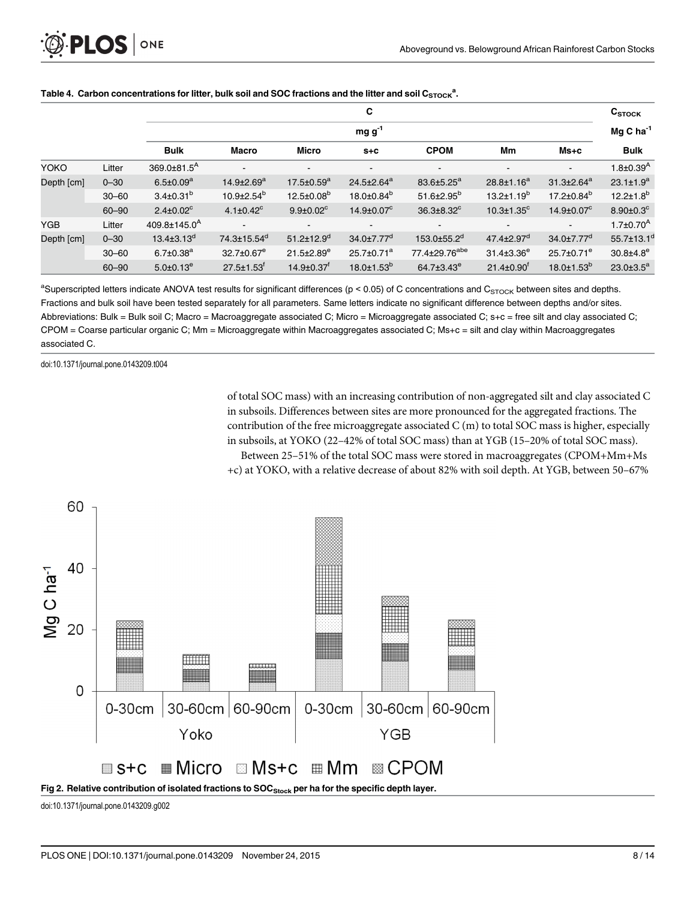|             |           |                                |                              |                              | C                            |                           |                              |                              | $C_{STOCK}$                 |  |  |
|-------------|-----------|--------------------------------|------------------------------|------------------------------|------------------------------|---------------------------|------------------------------|------------------------------|-----------------------------|--|--|
|             |           | $mgg-1$                        |                              |                              |                              |                           |                              |                              |                             |  |  |
|             |           | <b>Bulk</b>                    | Macro                        | <b>Micro</b>                 | $S + C$                      | <b>CPOM</b>               | Мm                           | $Ms+c$                       | <b>Bulk</b>                 |  |  |
| <b>YOKO</b> | Litter    | $369.0 \pm 81.5^{\text{A}}$    | $\blacksquare$               | $\overline{\phantom{a}}$     | $\blacksquare$               | $\blacksquare$            |                              | $\blacksquare$               | $1.8 \pm 0.39$ <sup>A</sup> |  |  |
| Depth [cm]  | $0 - 30$  | $6.5 \pm 0.09^a$               | $14.9{\pm}2.69^{a}$          | $17.5 \pm 0.59^a$            | $24.5 \pm 2.64^a$            | 83.6±5.25 <sup>a</sup>    | $28.8 \pm 1.16^a$            | $31.3{\pm}2.64^a$            | $23.1 \pm 1.9^a$            |  |  |
|             | $30 - 60$ | $3.4\pm0.31^{b}$               | $10.9{\pm}2.54^b$            | $12.5 \pm 0.08^b$            | $18.0 \pm 0.84^b$            | $51.6{\pm}2.95^{b}$       | $13.2 \pm 1.19^b$            | $17.2 \pm 0.84^b$            | $12.2 \pm 1.8^{b}$          |  |  |
|             | $60 - 90$ | $2.4 \pm 0.02$ <sup>c</sup>    | $4.1 \pm 0.42$ <sup>c</sup>  | $9.9 \pm 0.02$ <sup>c</sup>  | $14.9 \pm 0.07$ <sup>c</sup> | $36.3{\pm}8.32^{\circ}$   | $10.3 \pm 1.35$ <sup>c</sup> | $14.9 \pm 0.07$ <sup>c</sup> | $8.90 \pm 0.3$ <sup>c</sup> |  |  |
| <b>YGB</b>  | Litter    | $409.8 \pm 145.0$ <sup>A</sup> | $\blacksquare$               | $\blacksquare$               | $\blacksquare$               | $\blacksquare$            |                              | $\blacksquare$               | $1.7 \pm 0.70$ <sup>A</sup> |  |  |
| Depth [cm]  | $0 - 30$  | $13.4 \pm 3.13$ <sup>d</sup>   | 74.3±15.54 <sup>d</sup>      | $51.2 \pm 12.9$ <sup>d</sup> | $34.0 \pm 7.77$ <sup>d</sup> | 153.0±55.2 <sup>d</sup>   | $47.4 \pm 2.97$ <sup>d</sup> | $34.0 \pm 7.77$ <sup>d</sup> | 55.7±13.1 <sup>d</sup>      |  |  |
|             | $30 - 60$ | $6.7 \pm 0.38$ <sup>a</sup>    | $32.7 \pm 0.67$ <sup>e</sup> | $21.5 \pm 2.89^e$            | $25.7 \pm 0.71^a$            | 77.4±29.76 <sup>abe</sup> | $31.4 \pm 3.36^e$            | $25.7 \pm 0.71^e$            | $30.8{\pm}4.8^{\circ}$      |  |  |
|             | $60 - 90$ | $5.0{\pm}0.13^e$               | $27.5 \pm 1.53$ <sup>f</sup> | $14.9 \pm 0.37$ <sup>f</sup> | $18.0 \pm 1.53^{b}$          | 64.7±3.43 <sup>e</sup>    | $21.4 \pm 0.90$ <sup>f</sup> | $18.0 \pm 1.53^{b}$          | $23.0 \pm 3.5^a$            |  |  |

#### <span id="page-7-0"></span>[Table 4.](#page-6-0) Carbon concentrations for litter, bulk soil and SOC fractions and the litter and soil  ${\sf C}_{\text{STOCK}}{}^{\rm a}$ .

<sup>a</sup>Superscripted letters indicate ANOVA test results for significant differences (p < 0.05) of C concentrations and C<sub>STOCK</sub> between sites and depths. Fractions and bulk soil have been tested separately for all parameters. Same letters indicate no significant difference between depths and/or sites. Abbreviations: Bulk = Bulk soil C; Macro = Macroaggregate associated C; Micro = Microaggregate associated C;  $s+c =$  free silt and clay associated C; CPOM = Coarse particular organic C; Mm = Microaggregate within Macroaggregates associated C; Ms+c = silt and clay within Macroaggregates associated C.

doi:10.1371/journal.pone.0143209.t004

of total SOC mass) with an increasing contribution of non-aggregated silt and clay associated C in subsoils. Differences between sites are more pronounced for the aggregated fractions. The contribution of the free microaggregate associated C (m) to total SOC mass is higher, especially in subsoils, at YOKO (22–42% of total SOC mass) than at YGB (15–20% of total SOC mass). Between 25–51% of the total SOC mass were stored in macroaggregates (CPOM+Mm+Ms

+c) at YOKO, with a relative decrease of about 82% with soil depth. At YGB, between 50–67%



doi:10.1371/journal.pone.0143209.g002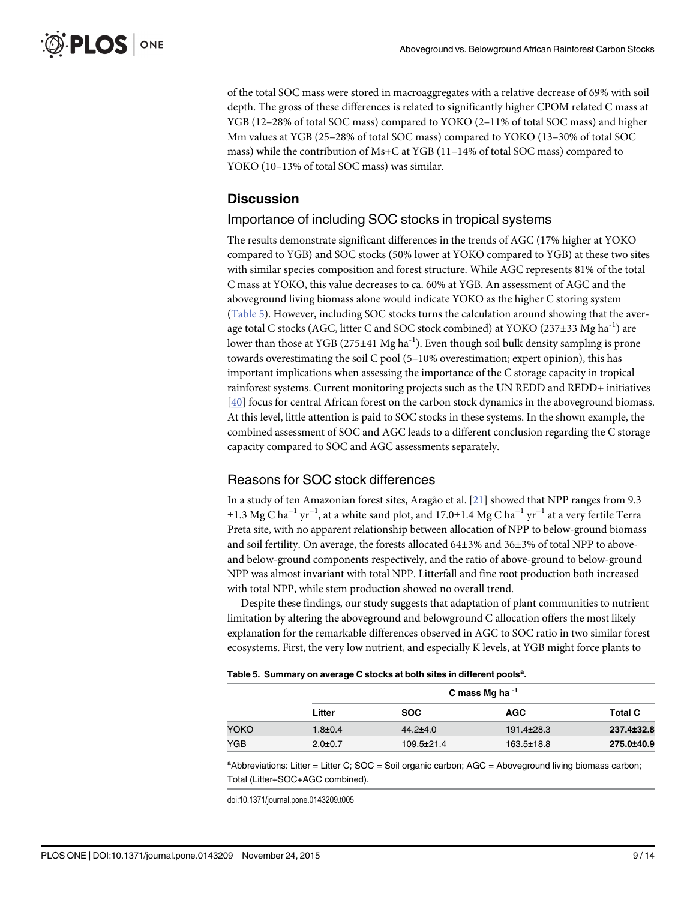<span id="page-8-0"></span>of the total SOC mass were stored in macroaggregates with a relative decrease of 69% with soil depth. The gross of these differences is related to significantly higher CPOM related C mass at YGB (12–28% of total SOC mass) compared to YOKO (2–11% of total SOC mass) and higher Mm values at YGB (25–28% of total SOC mass) compared to YOKO (13–30% of total SOC mass) while the contribution of Ms+C at YGB (11–14% of total SOC mass) compared to YOKO (10–13% of total SOC mass) was similar.

# **Discussion**

#### Importance of including SOC stocks in tropical systems

The results demonstrate significant differences in the trends of AGC (17% higher at YOKO compared to YGB) and SOC stocks (50% lower at YOKO compared to YGB) at these two sites with similar species composition and forest structure. While AGC represents 81% of the total C mass at YOKO, this value decreases to ca. 60% at YGB. An assessment of AGC and the aboveground living biomass alone would indicate YOKO as the higher C storing system (Table 5). However, including SOC stocks turns the calculation around showing that the average total C stocks (AGC, litter C and SOC stock combined) at YOKO (237 $\pm$ 33 Mg ha<sup>-1</sup>) are lower than those at YGB (275 $\pm$ 41 Mg ha<sup>-1</sup>). Even though soil bulk density sampling is prone towards overestimating the soil C pool (5–10% overestimation; expert opinion), this has important implications when assessing the importance of the C storage capacity in tropical rainforest systems. Current monitoring projects such as the UN REDD and REDD+ initiatives [\[40](#page-13-0)] focus for central African forest on the carbon stock dynamics in the aboveground biomass. At this level, little attention is paid to SOC stocks in these systems. In the shown example, the combined assessment of SOC and AGC leads to a different conclusion regarding the C storage capacity compared to SOC and AGC assessments separately.

#### Reasons for SOC stock differences

In a study of ten Amazonian forest sites, Aragão et al. [\[21\]](#page-12-0) showed that NPP ranges from 9.3 ±1.3 Mg C ha−<sup>1</sup> yr−<sup>1</sup> , at a white sand plot, and 17.0±1.4 Mg C ha−<sup>1</sup> yr−<sup>1</sup> at a very fertile Terra Preta site, with no apparent relationship between allocation of NPP to below-ground biomass and soil fertility. On average, the forests allocated 64±3% and 36±3% of total NPP to aboveand below-ground components respectively, and the ratio of above-ground to below-ground NPP was almost invariant with total NPP. Litterfall and fine root production both increased with total NPP, while stem production showed no overall trend.

Despite these findings, our study suggests that adaptation of plant communities to nutrient limitation by altering the aboveground and belowground C allocation offers the most likely explanation for the remarkable differences observed in AGC to SOC ratio in two similar forest ecosystems. First, the very low nutrient, and especially K levels, at YGB might force plants to

|  | Table 5. Summary on average C stocks at both sites in different pools <sup>a</sup> . |  |  |  |
|--|--------------------------------------------------------------------------------------|--|--|--|
|  |                                                                                      |  |  |  |

| C mass Mg ha $^{-1}$ |                  |                  |                |  |  |  |
|----------------------|------------------|------------------|----------------|--|--|--|
| Litter               | <b>SOC</b>       | AGC              | <b>Total C</b> |  |  |  |
| $1.8 + 0.4$          | $44.2 \pm 4.0$   | 191.4±28.3       | 237.4±32.8     |  |  |  |
| $2.0 \pm 0.7$        | $109.5 \pm 21.4$ | $163.5 \pm 18.8$ | 275.0±40.9     |  |  |  |
|                      |                  |                  |                |  |  |  |

<sup>a</sup>Abbreviations: Litter = Litter C; SOC = Soil organic carbon; AGC = Aboveground living biomass carbon; Total (Litter+SOC+AGC combined).

doi:10.1371/journal.pone.0143209.t005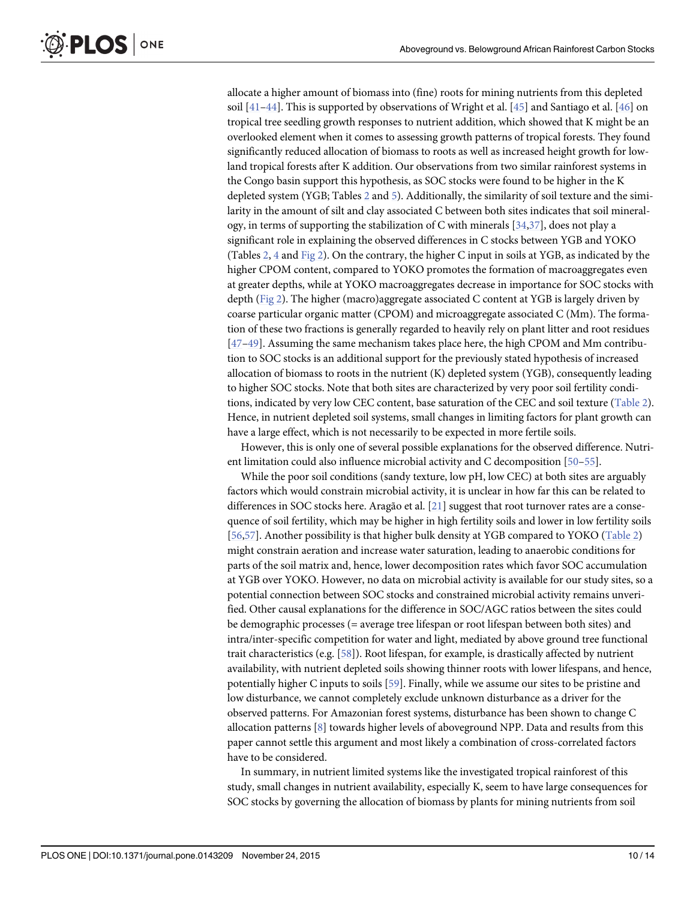allocate a higher amount of biomass into (fine) roots for mining nutrients from this depleted soil  $[41-44]$  $[41-44]$  $[41-44]$ . This is supported by observations of Wright et al.  $[45]$  $[45]$  and Santiago et al.  $[46]$  $[46]$  $[46]$  on tropical tree seedling growth responses to nutrient addition, which showed that K might be an overlooked element when it comes to assessing growth patterns of tropical forests. They found significantly reduced allocation of biomass to roots as well as increased height growth for lowland tropical forests after K addition. Our observations from two similar rainforest systems in the Congo basin support this hypothesis, as SOC stocks were found to be higher in the K depleted system (YGB; Tables [2](#page-6-0) and [5](#page-8-0)). Additionally, the similarity of soil texture and the similarity in the amount of silt and clay associated C between both sites indicates that soil mineralogy, in terms of supporting the stabilization of C with minerals  $[34,37]$  $[34,37]$  $[34,37]$  $[34,37]$  $[34,37]$ , does not play a significant role in explaining the observed differences in C stocks between YGB and YOKO (Tables [2](#page-6-0), [4](#page-7-0) and [Fig 2](#page-7-0)). On the contrary, the higher C input in soils at YGB, as indicated by the higher CPOM content, compared to YOKO promotes the formation of macroaggregates even at greater depths, while at YOKO macroaggregates decrease in importance for SOC stocks with depth ([Fig 2\)](#page-7-0). The higher (macro)aggregate associated C content at YGB is largely driven by coarse particular organic matter (CPOM) and microaggregate associated C (Mm). The formation of these two fractions is generally regarded to heavily rely on plant litter and root residues [\[47](#page-13-0)–[49\]](#page-13-0). Assuming the same mechanism takes place here, the high CPOM and Mm contribution to SOC stocks is an additional support for the previously stated hypothesis of increased allocation of biomass to roots in the nutrient (K) depleted system (YGB), consequently leading to higher SOC stocks. Note that both sites are characterized by very poor soil fertility conditions, indicated by very low CEC content, base saturation of the CEC and soil texture ([Table 2\)](#page-6-0).

have a large effect, which is not necessarily to be expected in more fertile soils. However, this is only one of several possible explanations for the observed difference. Nutrient limitation could also influence microbial activity and C decomposition [\[50](#page-13-0)–[55\]](#page-13-0).

Hence, in nutrient depleted soil systems, small changes in limiting factors for plant growth can

While the poor soil conditions (sandy texture, low pH, low CEC) at both sites are arguably factors which would constrain microbial activity, it is unclear in how far this can be related to differences in SOC stocks here. Aragão et al. [[21](#page-12-0)] suggest that root turnover rates are a consequence of soil fertility, which may be higher in high fertility soils and lower in low fertility soils [\[56,57\]](#page-13-0). Another possibility is that higher bulk density at YGB compared to YOKO ([Table 2\)](#page-6-0) might constrain aeration and increase water saturation, leading to anaerobic conditions for parts of the soil matrix and, hence, lower decomposition rates which favor SOC accumulation at YGB over YOKO. However, no data on microbial activity is available for our study sites, so a potential connection between SOC stocks and constrained microbial activity remains unverified. Other causal explanations for the difference in SOC/AGC ratios between the sites could be demographic processes (= average tree lifespan or root lifespan between both sites) and intra/inter-specific competition for water and light, mediated by above ground tree functional trait characteristics (e.g. [[58](#page-13-0)]). Root lifespan, for example, is drastically affected by nutrient availability, with nutrient depleted soils showing thinner roots with lower lifespans, and hence, potentially higher C inputs to soils [[59](#page-13-0)]. Finally, while we assume our sites to be pristine and low disturbance, we cannot completely exclude unknown disturbance as a driver for the observed patterns. For Amazonian forest systems, disturbance has been shown to change C allocation patterns [\[8](#page-11-0)] towards higher levels of aboveground NPP. Data and results from this paper cannot settle this argument and most likely a combination of cross-correlated factors have to be considered.

In summary, in nutrient limited systems like the investigated tropical rainforest of this study, small changes in nutrient availability, especially K, seem to have large consequences for SOC stocks by governing the allocation of biomass by plants for mining nutrients from soil

<span id="page-9-0"></span>**PLOS** I

ONE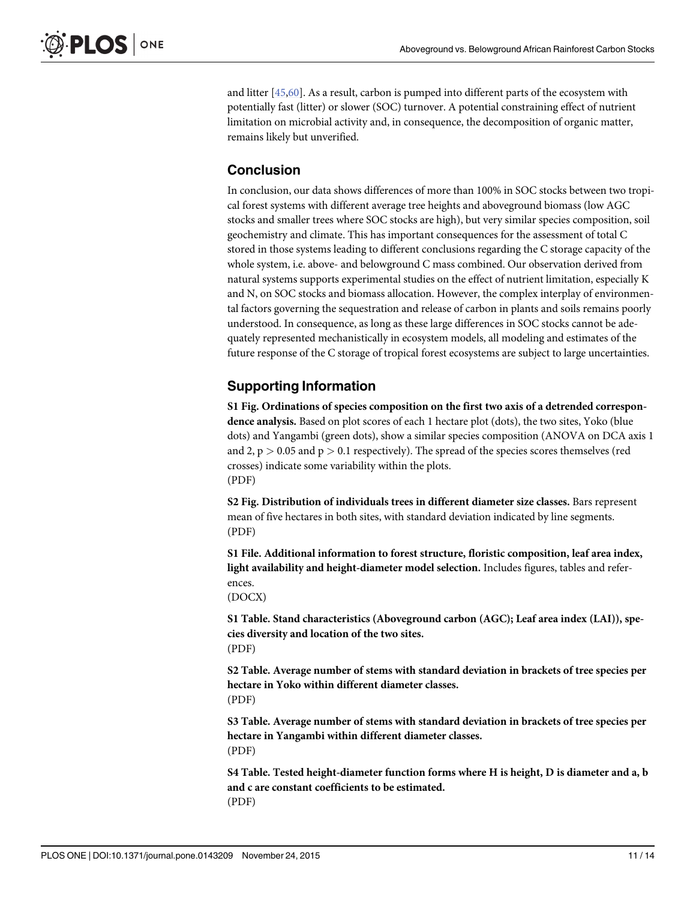<span id="page-10-0"></span>and litter [[45](#page-13-0),[60](#page-13-0)]. As a result, carbon is pumped into different parts of the ecosystem with potentially fast (litter) or slower (SOC) turnover. A potential constraining effect of nutrient limitation on microbial activity and, in consequence, the decomposition of organic matter, remains likely but unverified.

# **Conclusion**

In conclusion, our data shows differences of more than 100% in SOC stocks between two tropical forest systems with different average tree heights and aboveground biomass (low AGC stocks and smaller trees where SOC stocks are high), but very similar species composition, soil geochemistry and climate. This has important consequences for the assessment of total C stored in those systems leading to different conclusions regarding the C storage capacity of the whole system, i.e. above- and belowground C mass combined. Our observation derived from natural systems supports experimental studies on the effect of nutrient limitation, especially K and N, on SOC stocks and biomass allocation. However, the complex interplay of environmental factors governing the sequestration and release of carbon in plants and soils remains poorly understood. In consequence, as long as these large differences in SOC stocks cannot be adequately represented mechanistically in ecosystem models, all modeling and estimates of the future response of the C storage of tropical forest ecosystems are subject to large uncertainties.

# Supporting Information

[S1 Fig.](http://www.plosone.org/article/fetchSingleRepresentation.action?uri=info:doi/10.1371/journal.pone.0143209.s001) Ordinations of species composition on the first two axis of a detrended correspondence analysis. Based on plot scores of each 1 hectare plot (dots), the two sites, Yoko (blue dots) and Yangambi (green dots), show a similar species composition (ANOVA on DCA axis 1 and 2,  $p > 0.05$  and  $p > 0.1$  respectively). The spread of the species scores themselves (red crosses) indicate some variability within the plots. (PDF)

[S2 Fig.](http://www.plosone.org/article/fetchSingleRepresentation.action?uri=info:doi/10.1371/journal.pone.0143209.s002) Distribution of individuals trees in different diameter size classes. Bars represent mean of five hectares in both sites, with standard deviation indicated by line segments. (PDF)

[S1 File.](http://www.plosone.org/article/fetchSingleRepresentation.action?uri=info:doi/10.1371/journal.pone.0143209.s003) Additional information to forest structure, floristic composition, leaf area index, light availability and height-diameter model selection. Includes figures, tables and references.

(DOCX)

[S1 Table](http://www.plosone.org/article/fetchSingleRepresentation.action?uri=info:doi/10.1371/journal.pone.0143209.s004). Stand characteristics (Aboveground carbon (AGC); Leaf area index (LAI)), species diversity and location of the two sites. (PDF)

[S2 Table](http://www.plosone.org/article/fetchSingleRepresentation.action?uri=info:doi/10.1371/journal.pone.0143209.s005). Average number of stems with standard deviation in brackets of tree species per hectare in Yoko within different diameter classes. (PDF)

[S3 Table](http://www.plosone.org/article/fetchSingleRepresentation.action?uri=info:doi/10.1371/journal.pone.0143209.s006). Average number of stems with standard deviation in brackets of tree species per hectare in Yangambi within different diameter classes. (PDF)

[S4 Table](http://www.plosone.org/article/fetchSingleRepresentation.action?uri=info:doi/10.1371/journal.pone.0143209.s007). Tested height-diameter function forms where H is height, D is diameter and a, b and c are constant coefficients to be estimated. (PDF)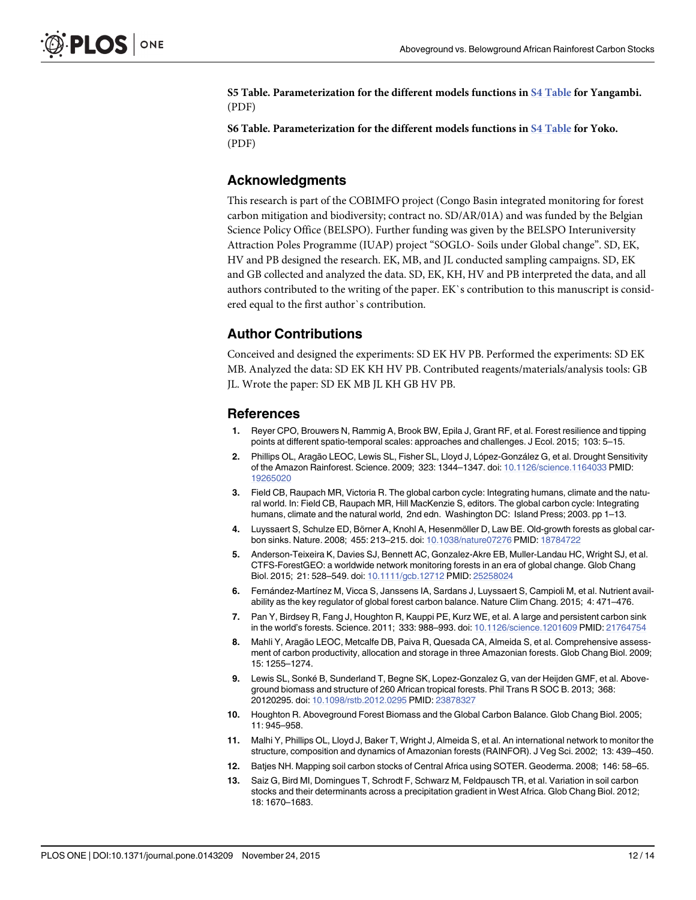<span id="page-11-0"></span>[S5 Table](http://www.plosone.org/article/fetchSingleRepresentation.action?uri=info:doi/10.1371/journal.pone.0143209.s008). Parameterization for the different models functions in [S4 Table](#page-10-0) for Yangambi. (PDF)

[S6 Table](http://www.plosone.org/article/fetchSingleRepresentation.action?uri=info:doi/10.1371/journal.pone.0143209.s009). Parameterization for the different models functions in [S4 Table](#page-10-0) for Yoko. (PDF)

### Acknowledgments

This research is part of the COBIMFO project (Congo Basin integrated monitoring for forest carbon mitigation and biodiversity; contract no. SD/AR/01A) and was funded by the Belgian Science Policy Office (BELSPO). Further funding was given by the BELSPO Interuniversity Attraction Poles Programme (IUAP) project "SOGLO- Soils under Global change". SD, EK, HV and PB designed the research. EK, MB, and JL conducted sampling campaigns. SD, EK and GB collected and analyzed the data. SD, EK, KH, HV and PB interpreted the data, and all authors contributed to the writing of the paper. EK`s contribution to this manuscript is considered equal to the first author`s contribution.

# Author Contributions

Conceived and designed the experiments: SD EK HV PB. Performed the experiments: SD EK MB. Analyzed the data: SD EK KH HV PB. Contributed reagents/materials/analysis tools: GB JL. Wrote the paper: SD EK MB JL KH GB HV PB.

#### References

- [1.](#page-1-0) Reyer CPO, Brouwers N, Rammig A, Brook BW, Epila J, Grant RF, et al. Forest resilience and tipping points at different spatio-temporal scales: approaches and challenges. J Ecol. 2015; 103: 5–15.
- [2.](#page-1-0) Phillips OL, Aragão LEOC, Lewis SL, Fisher SL, Lloyd J, López-González G, et al. Drought Sensitivity of the Amazon Rainforest. Science. 2009; 323: 1344–1347. doi: [10.1126/science.1164033](http://dx.doi.org/10.1126/science.1164033) PMID: [19265020](http://www.ncbi.nlm.nih.gov/pubmed/19265020)
- [3.](#page-1-0) Field CB, Raupach MR, Victoria R. The global carbon cycle: Integrating humans, climate and the natural world. In: Field CB, Raupach MR, Hill MacKenzie S, editors. The global carbon cycle: Integrating humans, climate and the natural world, 2nd edn. Washington DC: Island Press; 2003. pp 1–13.
- [4.](#page-1-0) Luyssaert S, Schulze ED, Börner A, Knohl A, Hesenmöller D, Law BE. Old-growth forests as global carbon sinks. Nature. 2008; 455: 213–215. doi: [10.1038/nature07276](http://dx.doi.org/10.1038/nature07276) PMID: [18784722](http://www.ncbi.nlm.nih.gov/pubmed/18784722)
- 5. Anderson-Teixeira K, Davies SJ, Bennett AC, Gonzalez-Akre EB, Muller-Landau HC, Wright SJ, et al. CTFS-ForestGEO: a worldwide network monitoring forests in an era of global change. Glob Chang Biol. 2015; 21: 528–549. doi: [10.1111/gcb.12712](http://dx.doi.org/10.1111/gcb.12712) PMID: [25258024](http://www.ncbi.nlm.nih.gov/pubmed/25258024)
- [6.](#page-1-0) Fernández-Martínez M, Vicca S, Janssens IA, Sardans J, Luyssaert S, Campioli M, et al. Nutrient availability as the key regulator of global forest carbon balance. Nature Clim Chang. 2015; 4: 471–476.
- [7.](#page-1-0) Pan Y, Birdsey R, Fang J, Houghton R, Kauppi PE, Kurz WE, et al. A large and persistent carbon sink in the world's forests. Science. 2011; 333: 988–993. doi: [10.1126/science.1201609](http://dx.doi.org/10.1126/science.1201609) PMID: [21764754](http://www.ncbi.nlm.nih.gov/pubmed/21764754)
- [8.](#page-1-0) Mahli Y, Aragão LEOC, Metcalfe DB, Paiva R, Quesada CA, Almeida S, et al. Comprehensive assessment of carbon productivity, allocation and storage in three Amazonian forests. Glob Chang Biol. 2009; 15: 1255–1274.
- [9.](#page-1-0) Lewis SL, Sonké B, Sunderland T, Begne SK, Lopez-Gonzalez G, van der Heijden GMF, et al. Aboveground biomass and structure of 260 African tropical forests. Phil Trans R SOC B. 2013; 368: 20120295. doi: [10.1098/rstb.2012.0295](http://dx.doi.org/10.1098/rstb.2012.0295) PMID: [23878327](http://www.ncbi.nlm.nih.gov/pubmed/23878327)
- [10.](#page-1-0) Houghton R. Aboveground Forest Biomass and the Global Carbon Balance. Glob Chang Biol. 2005; 11: 945–958.
- [11.](#page-1-0) Malhi Y, Phillips OL, Lloyd J, Baker T, Wright J, Almeida S, et al. An international network to monitor the structure, composition and dynamics of Amazonian forests (RAINFOR). J Veg Sci. 2002; 13: 439–450.
- [12.](#page-1-0) Batjes NH. Mapping soil carbon stocks of Central Africa using SOTER. Geoderma. 2008; 146: 58–65.
- [13.](#page-1-0) Saiz G, Bird MI, Domingues T, Schrodt F, Schwarz M, Feldpausch TR, et al. Variation in soil carbon stocks and their determinants across a precipitation gradient in West Africa. Glob Chang Biol. 2012; 18: 1670–1683.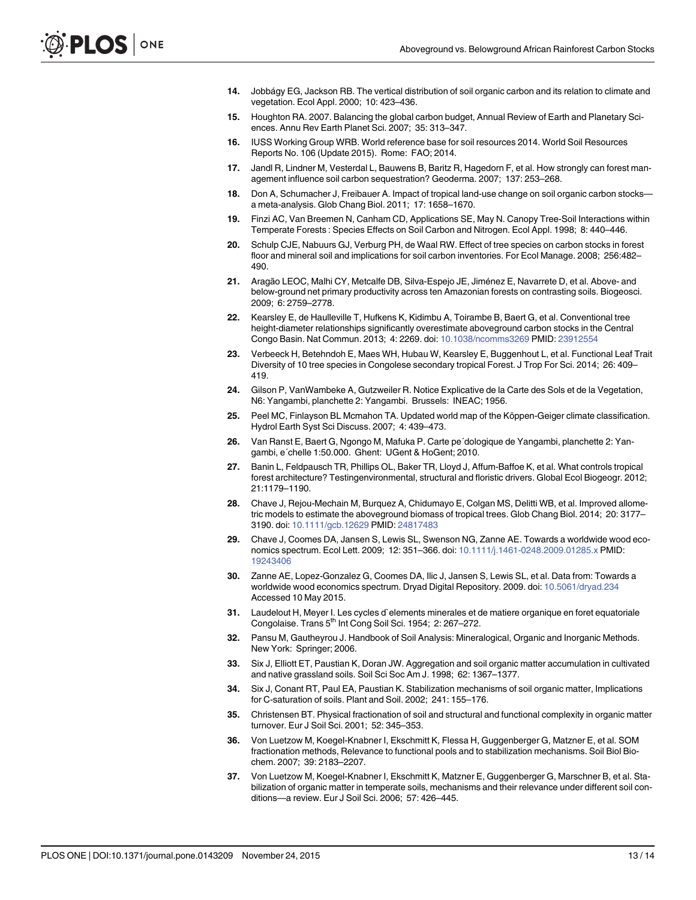- <span id="page-12-0"></span>[14.](#page-1-0) Jobbágy EG, Jackson RB. The vertical distribution of soil organic carbon and its relation to climate and vegetation. Ecol Appl. 2000; 10: 423–436.
- [15.](#page-1-0) Houghton RA. 2007. Balancing the global carbon budget, Annual Review of Earth and Planetary Sciences. Annu Rev Earth Planet Sci. 2007; 35: 313–347.
- [16.](#page-1-0) IUSS Working Group WRB. World reference base for soil resources 2014. World Soil Resources Reports No. 106 (Update 2015). Rome: FAO; 2014.
- [17.](#page-1-0) Jandl R, Lindner M, Vesterdal L, Bauwens B, Baritz R, Hagedorn F, et al. How strongly can forest management influence soil carbon sequestration? Geoderma. 2007; 137: 253–268.
- [18.](#page-1-0) Don A, Schumacher J, Freibauer A. Impact of tropical land-use change on soil organic carbon stocks a meta-analysis. Glob Chang Biol. 2011; 17: 1658–1670.
- [19.](#page-1-0) Finzi AC, Van Breemen N, Canham CD, Applications SE, May N. Canopy Tree-Soil Interactions within Temperate Forests : Species Effects on Soil Carbon and Nitrogen. Ecol Appl. 1998; 8: 440–446.
- [20.](#page-1-0) Schulp CJE, Nabuurs GJ, Verburg PH, de Waal RW. Effect of tree species on carbon stocks in forest floor and mineral soil and implications for soil carbon inventories. For Ecol Manage. 2008; 256:482– 490.
- [21.](#page-1-0) Aragão LEOC, Malhi CY, Metcalfe DB, Silva-Espejo JE, Jiménez E, Navarrete D, et al. Above- and below-ground net primary productivity across ten Amazonian forests on contrasting soils. Biogeosci. 2009; 6: 2759–2778.
- [22.](#page-2-0) Kearsley E, de Haulleville T, Hufkens K, Kidimbu A, Toirambe B, Baert G, et al. Conventional tree height-diameter relationships significantly overestimate aboveground carbon stocks in the Central Congo Basin. Nat Commun. 2013; 4: 2269. doi: [10.1038/ncomms3269](http://dx.doi.org/10.1038/ncomms3269) PMID: [23912554](http://www.ncbi.nlm.nih.gov/pubmed/23912554)
- [23.](#page-2-0) Verbeeck H, Betehndoh E, Maes WH, Hubau W, Kearsley E, Buggenhout L, et al. Functional Leaf Trait Diversity of 10 tree species in Congolese secondary tropical Forest. J Trop For Sci. 2014; 26: 409– 419.
- [24.](#page-2-0) Gilson P, VanWambeke A, Gutzweiler R. Notice Explicative de la Carte des Sols et de la Vegetation, N6: Yangambi, planchette 2: Yangambi. Brussels: INEAC; 1956.
- [25.](#page-2-0) Peel MC, Finlayson BL Mcmahon TA. Updated world map of the Köppen-Geiger climate classification. Hydrol Earth Syst Sci Discuss. 2007; 4: 439–473.
- [26.](#page-2-0) Van Ranst E, Baert G, Ngongo M, Mafuka P. Carte pe´dologique de Yangambi, planchette 2: Yangambi, e´chelle 1:50.000. Ghent: UGent & HoGent; 2010.
- [27.](#page-3-0) Banin L, Feldpausch TR, Phillips OL, Baker TR, Lloyd J, Affum-Baffoe K, et al. What controls tropical forest architecture? Testingenvironmental, structural and floristic drivers. Global Ecol Biogeogr. 2012; 21:1179–1190.
- [28.](#page-3-0) Chave J, Rejou-Mechain M, Burquez A, Chidumayo E, Colgan MS, Delitti WB, et al. Improved allometric models to estimate the aboveground biomass of tropical trees. Glob Chang Biol. 2014; 20: 3177– 3190. doi: [10.1111/gcb.12629](http://dx.doi.org/10.1111/gcb.12629) PMID: [24817483](http://www.ncbi.nlm.nih.gov/pubmed/24817483)
- [29.](#page-3-0) Chave J, Coomes DA, Jansen S, Lewis SL, Swenson NG, Zanne AE. Towards a worldwide wood economics spectrum. Ecol Lett. 2009; 12: 351–366. doi: [10.1111/j.1461-0248.2009.01285.x](http://dx.doi.org/10.1111/j.1461-0248.2009.01285.x) PMID: [19243406](http://www.ncbi.nlm.nih.gov/pubmed/19243406)
- [30.](#page-3-0) Zanne AE, Lopez-Gonzalez G, Coomes DA, Ilic J, Jansen S, Lewis SL, et al. Data from: Towards a worldwide wood economics spectrum. Dryad Digital Repository. 2009. doi: [10.5061/dryad.234](http://dx.doi.org/10.5061/dryad.234) Accessed 10 May 2015.
- [31.](#page-3-0) Laudelout H, Meyer I. Les cycles d`elements minerales et de matiere organique en foret equatoriale Congolaise. Trans 5<sup>th</sup> Int Cong Soil Sci. 1954; 2: 267-272.
- [32.](#page-3-0) Pansu M, Gautheyrou J. Handbook of Soil Analysis: Mineralogical, Organic and Inorganic Methods. New York: Springer; 2006.
- [33.](#page-3-0) Six J, Elliott ET, Paustian K, Doran JW. Aggregation and soil organic matter accumulation in cultivated and native grassland soils. Soil Sci Soc Am J. 1998; 62: 1367–1377.
- [34.](#page-4-0) Six J, Conant RT, Paul EA, Paustian K. Stabilization mechanisms of soil organic matter, Implications for C-saturation of soils. Plant and Soil. 2002; 241: 155–176.
- 35. Christensen BT. Physical fractionation of soil and structural and functional complexity in organic matter turnover. Eur J Soil Sci. 2001; 52: 345–353.
- 36. Von Luetzow M, Koegel-Knabner I, Ekschmitt K, Flessa H, Guggenberger G, Matzner E, et al. SOM fractionation methods, Relevance to functional pools and to stabilization mechanisms. Soil Biol Biochem. 2007; 39: 2183–2207.
- [37.](#page-4-0) Von Luetzow M, Koegel-Knabner I, Ekschmitt K, Matzner E, Guggenberger G, Marschner B, et al. Stabilization of organic matter in temperate soils, mechanisms and their relevance under different soil conditions—a review. Eur J Soil Sci. 2006; 57: 426–445.